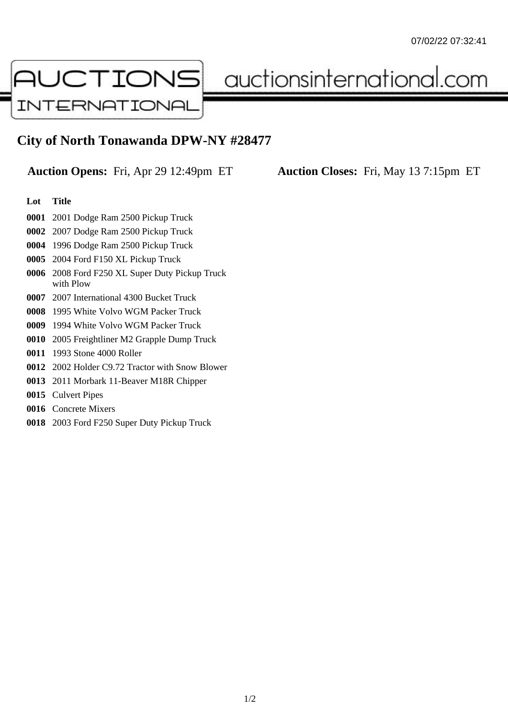

auctionsinternational.com

## **City of North Tonawanda DPW-NY #28477**

**Auction Opens:** Fri, Apr 29 12:49pm ET **Auction Closes:** Fri, May 13 7:15pm ET

## **Lot Title**

- 2001 Dodge Ram 2500 Pickup Truck
- 2007 Dodge Ram 2500 Pickup Truck
- 1996 Dodge Ram 2500 Pickup Truck
- 2004 Ford F150 XL Pickup Truck
- 2008 Ford F250 XL Super Duty Pickup Truck with Plow
- 2007 International 4300 Bucket Truck
- 1995 White Volvo WGM Packer Truck
- 1994 White Volvo WGM Packer Truck
- 2005 Freightliner M2 Grapple Dump Truck
- 1993 Stone 4000 Roller
- 2002 Holder C9.72 Tractor with Snow Blower
- 2011 Morbark 11-Beaver M18R Chipper
- Culvert Pipes
- Concrete Mixers
- 2003 Ford F250 Super Duty Pickup Truck